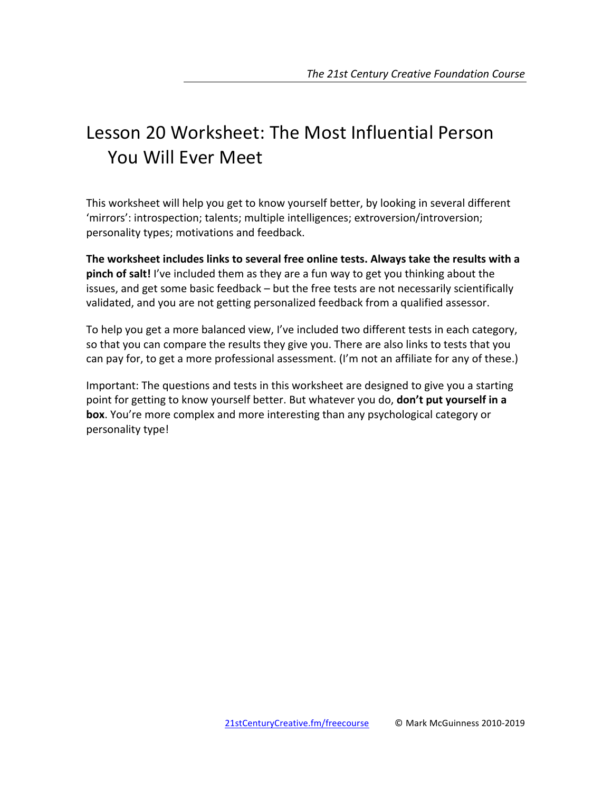# Lesson 20 Worksheet: The Most Influential Person You Will Fver Meet

This worksheet will help you get to know yourself better, by looking in several different 'mirrors': introspection; talents; multiple intelligences; extroversion/introversion; personality types; motivations and feedback.

The worksheet includes links to several free online tests. Always take the results with a **pinch of salt!** I've included them as they are a fun way to get you thinking about the issues, and get some basic feedback – but the free tests are not necessarily scientifically validated, and you are not getting personalized feedback from a qualified assessor.

To help you get a more balanced view, I've included two different tests in each category, so that you can compare the results they give you. There are also links to tests that you can pay for, to get a more professional assessment. (I'm not an affiliate for any of these.)

Important: The questions and tests in this worksheet are designed to give you a starting point for getting to know yourself better. But whatever you do, **don't put yourself in a box**. You're more complex and more interesting than any psychological category or personality type!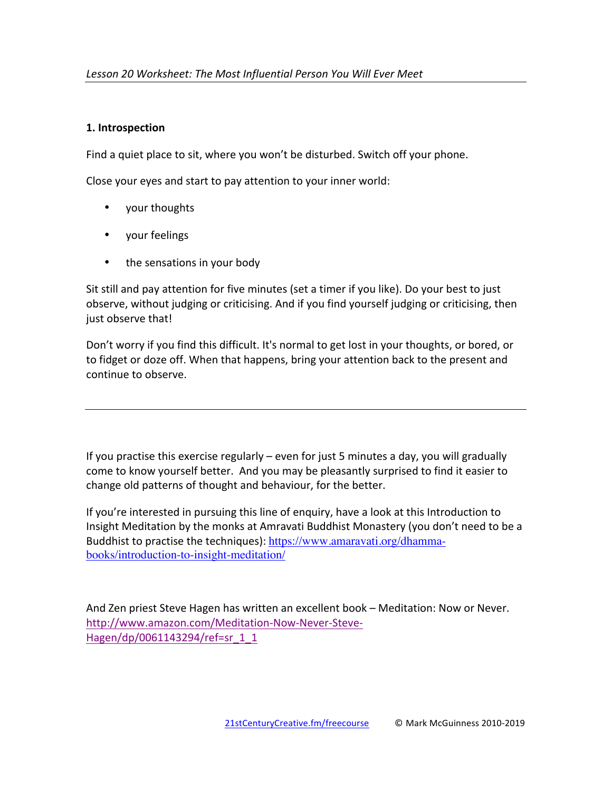## **1. Introspection**

Find a quiet place to sit, where you won't be disturbed. Switch off your phone.

Close your eyes and start to pay attention to your inner world:

- your thoughts
- your feelings
- the sensations in your body

Sit still and pay attention for five minutes (set a timer if you like). Do your best to just observe, without judging or criticising. And if you find yourself judging or criticising, then just observe that!

Don't worry if you find this difficult. It's normal to get lost in your thoughts, or bored, or to fidget or doze off. When that happens, bring your attention back to the present and continue to observe.

If you practise this exercise regularly  $-$  even for just 5 minutes a day, you will gradually come to know yourself better. And you may be pleasantly surprised to find it easier to change old patterns of thought and behaviour, for the better.

If you're interested in pursuing this line of enquiry, have a look at this Introduction to Insight Meditation by the monks at Amravati Buddhist Monastery (you don't need to be a Buddhist to practise the techniques): https://www.amaravati.org/dhammabooks/introduction-to-insight-meditation/

And Zen priest Steve Hagen has written an excellent book – Meditation: Now or Never. http://www.amazon.com/Meditation-Now-Never-Steve-Hagen/dp/0061143294/ref=sr\_1\_1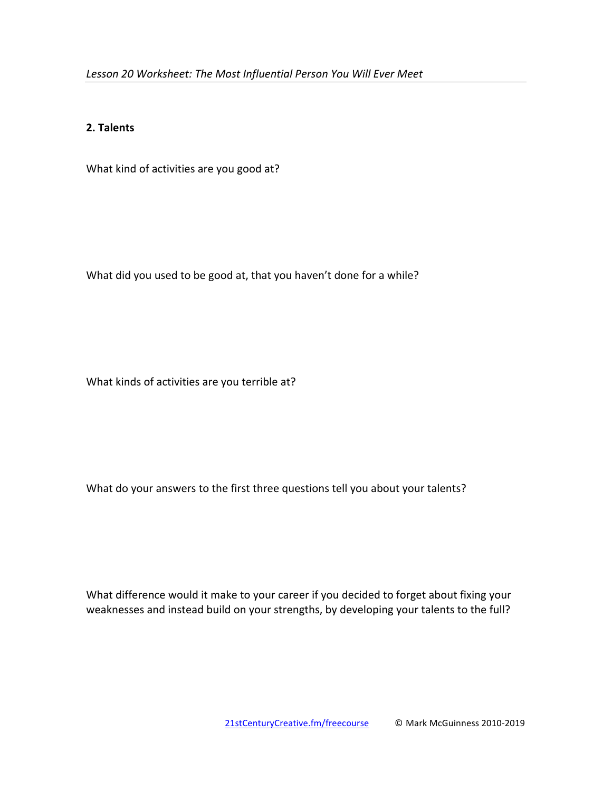#### **2. Talents**

What kind of activities are you good at?

What did you used to be good at, that you haven't done for a while?

What kinds of activities are you terrible at?

What do your answers to the first three questions tell you about your talents?

What difference would it make to your career if you decided to forget about fixing your weaknesses and instead build on your strengths, by developing your talents to the full?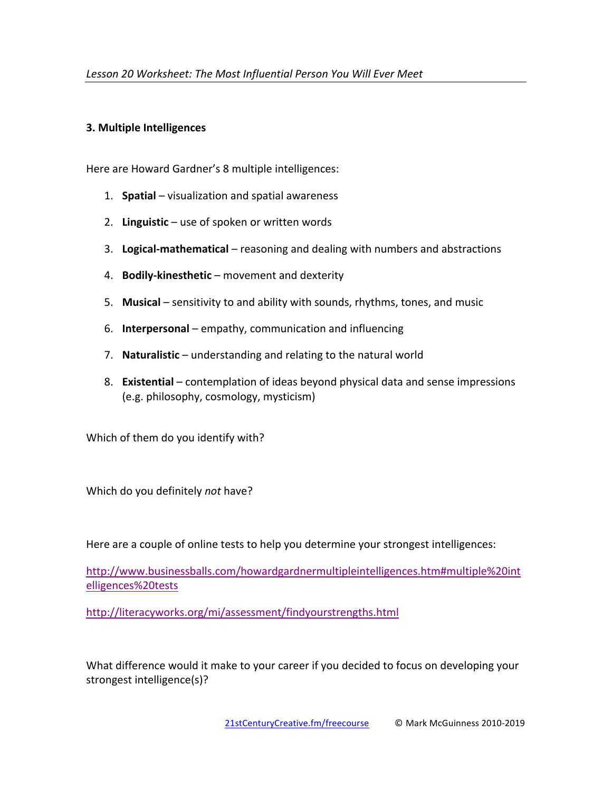### **3. Multiple Intelligences**

Here are Howard Gardner's 8 multiple intelligences:

- 1. **Spatial** visualization and spatial awareness
- 2. Linguistic use of spoken or written words
- 3. Logical-mathematical reasoning and dealing with numbers and abstractions
- 4. **Bodily-kinesthetic** movement and dexterity
- 5. Musical sensitivity to and ability with sounds, rhythms, tones, and music
- 6. **Interpersonal** empathy, communication and influencing
- 7. **Naturalistic** understanding and relating to the natural world
- 8. **Existential** contemplation of ideas beyond physical data and sense impressions (e.g. philosophy, cosmology, mysticism)

Which of them do you identify with?

Which do you definitely *not* have?

Here are a couple of online tests to help you determine your strongest intelligences:

http://www.businessballs.com/howardgardnermultipleintelligences.htm#multiple%20int elligences%20tests

http://literacyworks.org/mi/assessment/findyourstrengths.html

What difference would it make to your career if you decided to focus on developing your strongest intelligence(s)?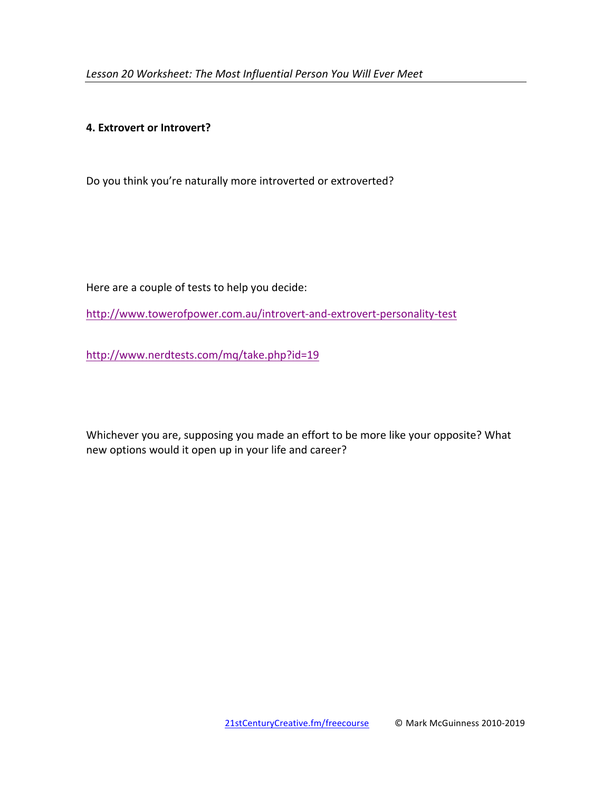#### **4. Extrovert or Introvert?**

Do you think you're naturally more introverted or extroverted?

Here are a couple of tests to help you decide:

http://www.towerofpower.com.au/introvert-and-extrovert-personality-test

http://www.nerdtests.com/mq/take.php?id=19

Whichever you are, supposing you made an effort to be more like your opposite? What new options would it open up in your life and career?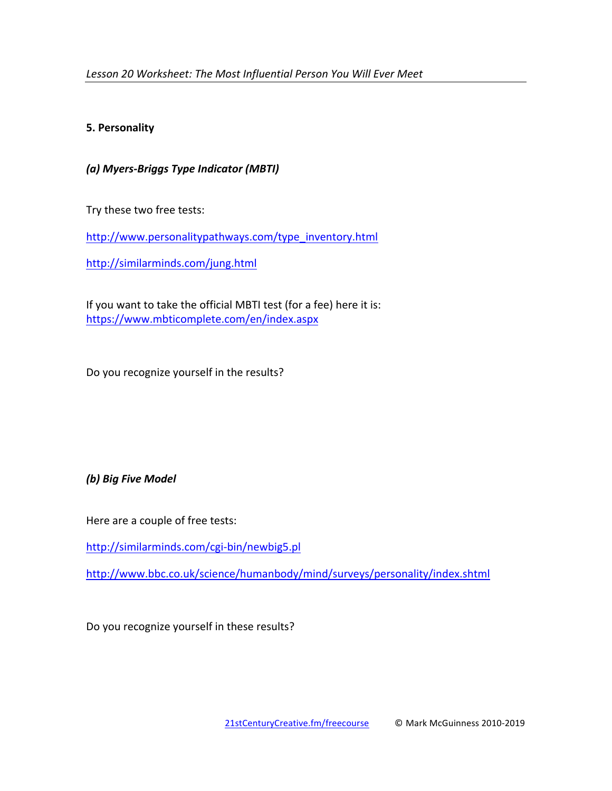## **5. Personality**

*(a) Myers-Briggs Type Indicator (MBTI)*

Try these two free tests:

http://www.personalitypathways.com/type\_inventory.html

http://similarminds.com/jung.html

If you want to take the official MBTI test (for a fee) here it is: https://www.mbticomplete.com/en/index.aspx

Do you recognize yourself in the results?

*(b) Big Five Model*

Here are a couple of free tests:

http://similarminds.com/cgi-bin/newbig5.pl

http://www.bbc.co.uk/science/humanbody/mind/surveys/personality/index.shtml

Do you recognize yourself in these results?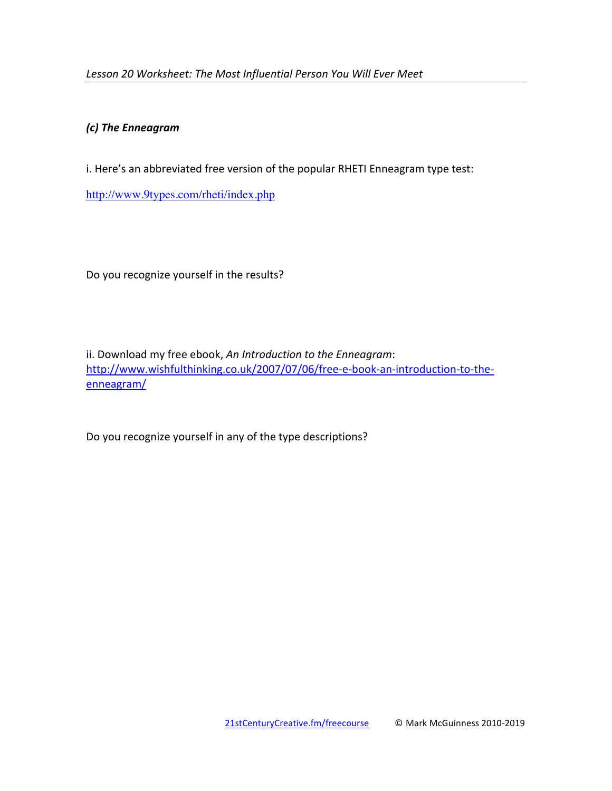## *(c) The Enneagram*

i. Here's an abbreviated free version of the popular RHETI Enneagram type test:

http://www.9types.com/rheti/index.php

Do you recognize yourself in the results?

ii. Download my free ebook, An Introduction to the Enneagram: http://www.wishfulthinking.co.uk/2007/07/06/free-e-book-an-introduction-to-theenneagram/

Do you recognize yourself in any of the type descriptions?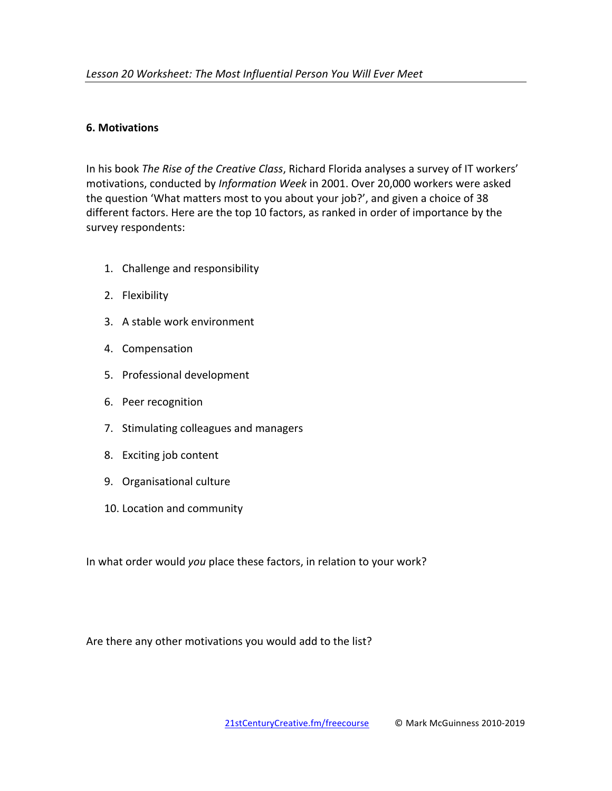#### **6. Motivations**

In his book *The Rise of the Creative Class*, Richard Florida analyses a survey of IT workers' motivations, conducted by Information Week in 2001. Over 20,000 workers were asked the question 'What matters most to you about your job?', and given a choice of 38 different factors. Here are the top 10 factors, as ranked in order of importance by the survey respondents:

- 1. Challenge and responsibility
- 2. Flexibility
- 3. A stable work environment
- 4. Compensation
- 5. Professional development
- 6. Peer recognition
- 7. Stimulating colleagues and managers
- 8. Exciting job content
- 9. Organisational culture
- 10. Location and community

In what order would you place these factors, in relation to your work?

Are there any other motivations you would add to the list?